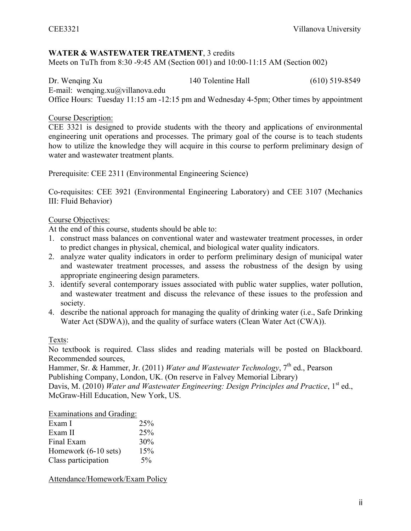# **WATER & WASTEWATER TREATMENT**, 3 credits

Meets on TuTh from 8:30 -9:45 AM (Section 001) and 10:00-11:15 AM (Section 002)

Dr. Wenqing Xu 140 Tolentine Hall (610) 519-8549 E-mail: wenging.xu $\omega$ villanova.edu Office Hours: Tuesday 11:15 am -12:15 pm and Wednesday 4-5pm; Other times by appointment

## Course Description:

CEE 3321 is designed to provide students with the theory and applications of environmental engineering unit operations and processes. The primary goal of the course is to teach students how to utilize the knowledge they will acquire in this course to perform preliminary design of water and wastewater treatment plants.

Prerequisite: CEE 2311 (Environmental Engineering Science)

Co-requisites: CEE 3921 (Environmental Engineering Laboratory) and CEE 3107 (Mechanics III: Fluid Behavior)

## Course Objectives:

At the end of this course, students should be able to:

- 1. construct mass balances on conventional water and wastewater treatment processes, in order to predict changes in physical, chemical, and biological water quality indicators.
- 2. analyze water quality indicators in order to perform preliminary design of municipal water and wastewater treatment processes, and assess the robustness of the design by using appropriate engineering design parameters.
- 3. identify several contemporary issues associated with public water supplies, water pollution, and wastewater treatment and discuss the relevance of these issues to the profession and society.
- 4. describe the national approach for managing the quality of drinking water (i.e., Safe Drinking Water Act (SDWA)), and the quality of surface waters (Clean Water Act (CWA)).

#### Texts:

No textbook is required. Class slides and reading materials will be posted on Blackboard. Recommended sources,

Hammer, Sr. & Hammer, Jr. (2011) *Water and Wastewater Technology*, 7<sup>th</sup> ed., Pearson Publishing Company, London, UK. (On reserve in Falvey Memorial Library) Davis, M. (2010) *Water and Wastewater Engineering: Design Principles and Practice*, 1<sup>st</sup> ed., McGraw-Hill Education, New York, US.

#### Examinations and Grading:

| Exam I               | 25%   |
|----------------------|-------|
| Exam II              | 25%   |
| Final Exam           | 30%   |
| Homework (6-10 sets) | 15%   |
| Class participation  | $5\%$ |

Attendance/Homework/Exam Policy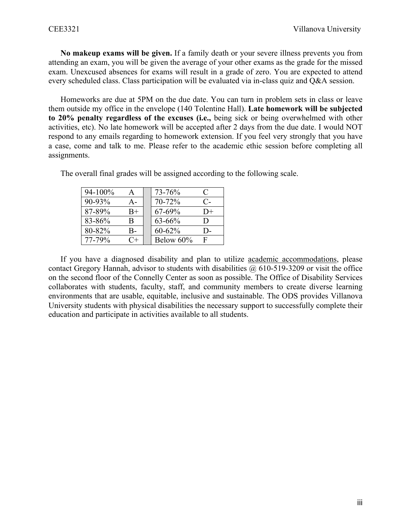**No makeup exams will be given.** If a family death or your severe illness prevents you from attending an exam, you will be given the average of your other exams as the grade for the missed exam. Unexcused absences for exams will result in a grade of zero. You are expected to attend every scheduled class. Class participation will be evaluated via in-class quiz and Q&A session.

Homeworks are due at 5PM on the due date. You can turn in problem sets in class or leave them outside my office in the envelope (140 Tolentine Hall). **Late homework will be subjected to 20% penalty regardless of the excuses (i.e.,** being sick or being overwhelmed with other activities, etc). No late homework will be accepted after 2 days from the due date. I would NOT respond to any emails regarding to homework extension. If you feel very strongly that you have a case, come and talk to me. Please refer to the academic ethic session before completing all assignments.

| 94-100% | A    | 73-76%     |              |
|---------|------|------------|--------------|
| 90-93%  | А-   | 70-72%     | C-           |
| 87-89%  | $R+$ | 67-69%     | $_{\rm 1)+}$ |
| 83-86%  | B    | $63 - 66%$ | ו ו          |
| 80-82%  | B-   | $60 - 62%$ | ור -         |
| 77-79%  | $C+$ | Below 60%  | F            |

The overall final grades will be assigned according to the following scale.

If you have a diagnosed disability and plan to utilize academic accommodations, please contact Gregory Hannah, advisor to students with disabilities  $\omega$  610-519-3209 or visit the office on the second floor of the Connelly Center as soon as possible. The Office of Disability Services collaborates with students, faculty, staff, and community members to create diverse learning environments that are usable, equitable, inclusive and sustainable. The ODS provides Villanova University students with physical disabilities the necessary support to successfully complete their education and participate in activities available to all students.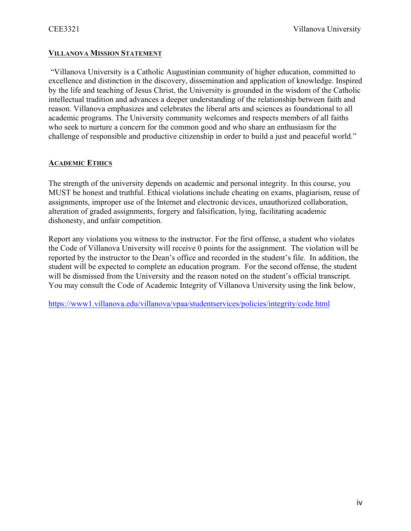# **VILLANOVA MISSION STATEMENT**

"Villanova University is a Catholic Augustinian community of higher education, committed to excellence and distinction in the discovery, dissemination and application of knowledge. Inspired by the life and teaching of Jesus Christ, the University is grounded in the wisdom of the Catholic intellectual tradition and advances a deeper understanding of the relationship between faith and reason. Villanova emphasizes and celebrates the liberal arts and sciences as foundational to all academic programs. The University community welcomes and respects members of all faiths who seek to nurture a concern for the common good and who share an enthusiasm for the challenge of responsible and productive citizenship in order to build a just and peaceful world."

# **ACADEMIC ETHICS**

The strength of the university depends on academic and personal integrity. In this course, you MUST be honest and truthful. Ethical violations include cheating on exams, plagiarism, reuse of assignments, improper use of the Internet and electronic devices, unauthorized collaboration, alteration of graded assignments, forgery and falsification, lying, facilitating academic dishonesty, and unfair competition.

Report any violations you witness to the instructor. For the first offense, a student who violates the Code of Villanova University will receive 0 points for the assignment. The violation will be reported by the instructor to the Dean's office and recorded in the student's file. In addition, the student will be expected to complete an education program. For the second offense, the student will be dismissed from the University and the reason noted on the student's official transcript. You may consult the Code of Academic Integrity of Villanova University using the link below,

https://www1.villanova.edu/villanova/vpaa/studentservices/policies/integrity/code.html